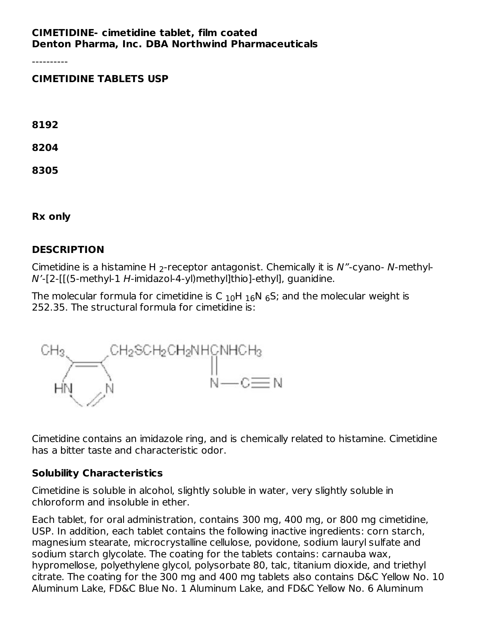#### **CIMETIDINE- cimetidine tablet, film coated Denton Pharma, Inc. DBA Northwind Pharmaceuticals**

----------

#### **CIMETIDINE TABLETS USP**

**8192**

**8204**

**8305**

**Rx only**

### **DESCRIPTION**

Cimetidine is a histamine H  $_2$ -receptor antagonist. Chemically it is N"-cyano- N-methyl- $N'$ -[2-[[(5-methyl-1 H-imidazol-4-yl)methyl]thio]-ethyl], quanidine.

The molecular formula for cimetidine is C  $_{10}$ H  $_{16}$ N  $_{6}$ S; and the molecular weight is 252.35. The structural formula for cimetidine is:



Cimetidine contains an imidazole ring, and is chemically related to histamine. Cimetidine has a bitter taste and characteristic odor.

#### **Solubility Characteristics**

Cimetidine is soluble in alcohol, slightly soluble in water, very slightly soluble in chloroform and insoluble in ether.

Each tablet, for oral administration, contains 300 mg, 400 mg, or 800 mg cimetidine, USP. In addition, each tablet contains the following inactive ingredients: corn starch, magnesium stearate, microcrystalline cellulose, povidone, sodium lauryl sulfate and sodium starch glycolate. The coating for the tablets contains: carnauba wax, hypromellose, polyethylene glycol, polysorbate 80, talc, titanium dioxide, and triethyl citrate. The coating for the 300 mg and 400 mg tablets also contains D&C Yellow No. 10 Aluminum Lake, FD&C Blue No. 1 Aluminum Lake, and FD&C Yellow No. 6 Aluminum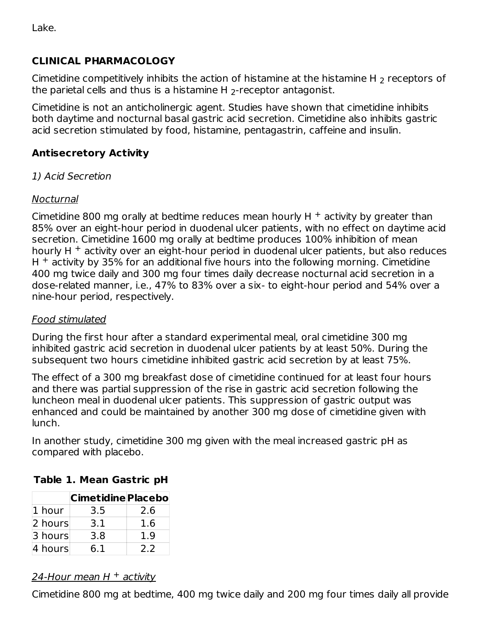Lake.

### **CLINICAL PHARMACOLOGY**

Cimetidine competitively inhibits the action of histamine at the histamine H  $_{\rm 2}$  receptors of the parietal cells and thus is a histamine H  $_2$ -receptor antagonist.

Cimetidine is not an anticholinergic agent. Studies have shown that cimetidine inhibits both daytime and nocturnal basal gastric acid secretion. Cimetidine also inhibits gastric acid secretion stimulated by food, histamine, pentagastrin, caffeine and insulin.

# **Antisecretory Activity**

# 1) Acid Secretion

### Nocturnal

Cimetidine 800 mg orally at bedtime reduces mean hourly H  $^+$  activity by greater than 85% over an eight-hour period in duodenal ulcer patients, with no effect on daytime acid secretion. Cimetidine 1600 mg orally at bedtime produces 100% inhibition of mean hourly H $+$  activity over an eight-hour period in duodenal ulcer patients, but also reduces  $H<sup>+</sup>$  activity by 35% for an additional five hours into the following morning. Cimetidine 400 mg twice daily and 300 mg four times daily decrease nocturnal acid secretion in a dose-related manner, i.e., 47% to 83% over a six- to eight-hour period and 54% over a nine-hour period, respectively.

### Food stimulated

During the first hour after a standard experimental meal, oral cimetidine 300 mg inhibited gastric acid secretion in duodenal ulcer patients by at least 50%. During the subsequent two hours cimetidine inhibited gastric acid secretion by at least 75%.

The effect of a 300 mg breakfast dose of cimetidine continued for at least four hours and there was partial suppression of the rise in gastric acid secretion following the luncheon meal in duodenal ulcer patients. This suppression of gastric output was enhanced and could be maintained by another 300 mg dose of cimetidine given with lunch.

In another study, cimetidine 300 mg given with the meal increased gastric pH as compared with placebo.

|         | <b>Cimetidine Placebo</b> |     |
|---------|---------------------------|-----|
| 1 hour  | 3.5                       | 2.6 |
| 2 hours | 3.1                       | 1.6 |
| 3 hours | 3.8                       | 1.9 |
| 4 hours | 6.1                       | 2.2 |

# **Table 1. Mean Gastric pH**

### 24-Hour mean H <sup>+</sup> activity

Cimetidine 800 mg at bedtime, 400 mg twice daily and 200 mg four times daily all provide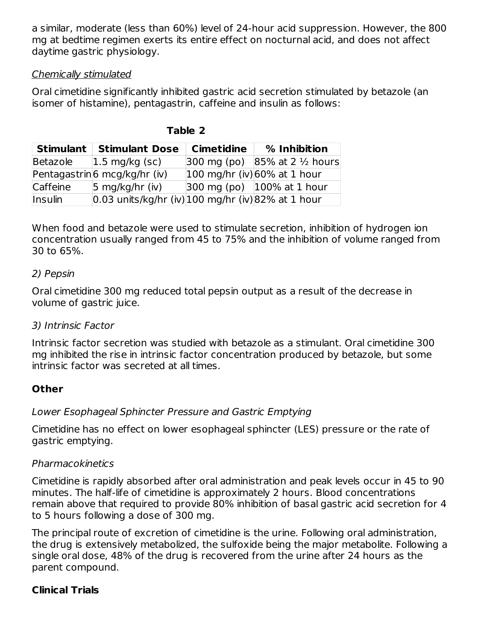a similar, moderate (less than 60%) level of 24-hour acid suppression. However, the 800 mg at bedtime regimen exerts its entire effect on nocturnal acid, and does not affect daytime gastric physiology.

### Chemically stimulated

Oral cimetidine significantly inhibited gastric acid secretion stimulated by betazole (an isomer of histamine), pentagastrin, caffeine and insulin as follows:

| Stimulant      | <b>Stimulant Dose</b>                                                  | Cimetidine            | % Inhibition                                                |
|----------------|------------------------------------------------------------------------|-----------------------|-------------------------------------------------------------|
| Betazole       | $ 1.5 \text{ mg/kg}$ (sc)                                              | $300 \text{ mg}$ (po) | $85\%$ at 2 $\frac{1}{2}$ hours                             |
|                | Pentagastrin6 mcg/kg/hr (iv)                                           |                       | $ 100 \text{ mg/hr}$ (iv) 60% at 1 hour                     |
| Caffeine       | 5 mg/kg/hr (iv)                                                        |                       | $ 300 \text{ mg}$ (po) $ 100\% \text{ at } 1 \text{ hour} $ |
| <b>Insulin</b> | $ 0.03 \text{ units/kg/hr (iv)} 100 \text{ mg/hr (iv)} 82\%$ at 1 hour |                       |                                                             |

**Table 2**

When food and betazole were used to stimulate secretion, inhibition of hydrogen ion concentration usually ranged from 45 to 75% and the inhibition of volume ranged from 30 to 65%.

### 2) Pepsin

Oral cimetidine 300 mg reduced total pepsin output as a result of the decrease in volume of gastric juice.

# 3) Intrinsic Factor

Intrinsic factor secretion was studied with betazole as a stimulant. Oral cimetidine 300 mg inhibited the rise in intrinsic factor concentration produced by betazole, but some intrinsic factor was secreted at all times.

# **Other**

# Lower Esophageal Sphincter Pressure and Gastric Emptying

Cimetidine has no effect on lower esophageal sphincter (LES) pressure or the rate of gastric emptying.

# Pharmacokinetics

Cimetidine is rapidly absorbed after oral administration and peak levels occur in 45 to 90 minutes. The half-life of cimetidine is approximately 2 hours. Blood concentrations remain above that required to provide 80% inhibition of basal gastric acid secretion for 4 to 5 hours following a dose of 300 mg.

The principal route of excretion of cimetidine is the urine. Following oral administration, the drug is extensively metabolized, the sulfoxide being the major metabolite. Following a single oral dose, 48% of the drug is recovered from the urine after 24 hours as the parent compound.

# **Clinical Trials**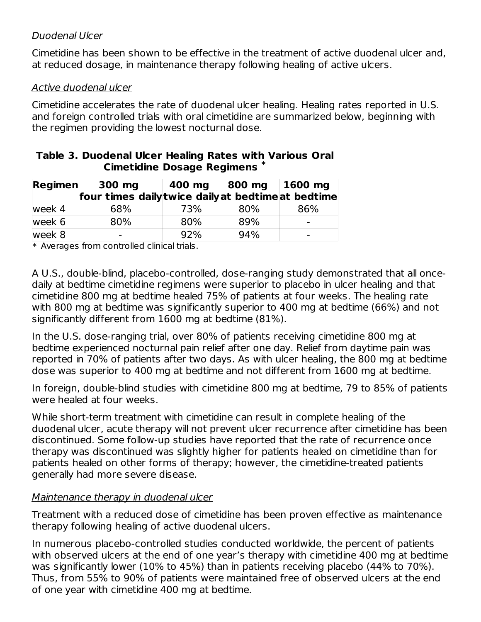### Duodenal Ulcer

Cimetidine has been shown to be effective in the treatment of active duodenal ulcer and, at reduced dosage, in maintenance therapy following healing of active ulcers.

### Active duodenal ulcer

Cimetidine accelerates the rate of duodenal ulcer healing. Healing rates reported in U.S. and foreign controlled trials with oral cimetidine are summarized below, beginning with the regimen providing the lowest nocturnal dose.

#### **Table 3. Duodenal Ulcer Healing Rates with Various Oral Cimetidine Dosage Regimens \***

| Regimen | 300 mg                                             | 400 mg | 800 mg   1600 mg |     |
|---------|----------------------------------------------------|--------|------------------|-----|
|         | four times daily twice daily at bedtime at bedtime |        |                  |     |
| week 4  | 68%                                                | 73%    | 80%              | 86% |
| week 6  | 80%                                                | 80%    | 89%              |     |
| week 8  | $\overline{\phantom{0}}$                           | 92%    | 94%              |     |

 $\ast$  Averages from controlled clinical trials.

A U.S., double-blind, placebo-controlled, dose-ranging study demonstrated that all oncedaily at bedtime cimetidine regimens were superior to placebo in ulcer healing and that cimetidine 800 mg at bedtime healed 75% of patients at four weeks. The healing rate with 800 mg at bedtime was significantly superior to 400 mg at bedtime (66%) and not significantly different from 1600 mg at bedtime (81%).

In the U.S. dose-ranging trial, over 80% of patients receiving cimetidine 800 mg at bedtime experienced nocturnal pain relief after one day. Relief from daytime pain was reported in 70% of patients after two days. As with ulcer healing, the 800 mg at bedtime dose was superior to 400 mg at bedtime and not different from 1600 mg at bedtime.

In foreign, double-blind studies with cimetidine 800 mg at bedtime, 79 to 85% of patients were healed at four weeks.

While short-term treatment with cimetidine can result in complete healing of the duodenal ulcer, acute therapy will not prevent ulcer recurrence after cimetidine has been discontinued. Some follow-up studies have reported that the rate of recurrence once therapy was discontinued was slightly higher for patients healed on cimetidine than for patients healed on other forms of therapy; however, the cimetidine-treated patients generally had more severe disease.

### Maintenance therapy in duodenal ulcer

Treatment with a reduced dose of cimetidine has been proven effective as maintenance therapy following healing of active duodenal ulcers.

In numerous placebo-controlled studies conducted worldwide, the percent of patients with observed ulcers at the end of one year's therapy with cimetidine 400 mg at bedtime was significantly lower (10% to 45%) than in patients receiving placebo (44% to 70%). Thus, from 55% to 90% of patients were maintained free of observed ulcers at the end of one year with cimetidine 400 mg at bedtime.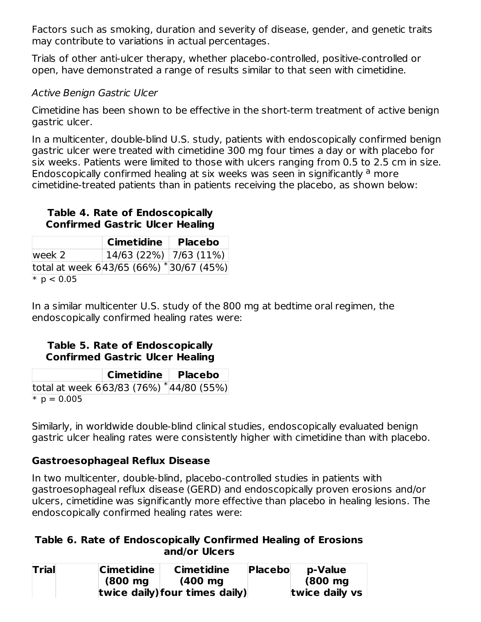Factors such as smoking, duration and severity of disease, gender, and genetic traits may contribute to variations in actual percentages.

Trials of other anti-ulcer therapy, whether placebo-controlled, positive-controlled or open, have demonstrated a range of results similar to that seen with cimetidine.

### Active Benign Gastric Ulcer

Cimetidine has been shown to be effective in the short-term treatment of active benign gastric ulcer.

In a multicenter, double-blind U.S. study, patients with endoscopically confirmed benign gastric ulcer were treated with cimetidine 300 mg four times a day or with placebo for six weeks. Patients were limited to those with ulcers ranging from 0.5 to 2.5 cm in size. Endoscopically confirmed healing at six weeks was seen in significantly <sup>a</sup> more cimetidine-treated patients than in patients receiving the placebo, as shown below:

#### **Table 4. Rate of Endoscopically Confirmed Gastric Ulcer Healing**

|                                            | <b>Cimetidine</b>          | <b>Placebo</b> |
|--------------------------------------------|----------------------------|----------------|
| week 2                                     | $14/63$ (22%)   7/63 (11%) |                |
| total at week $6 43/65$ (66%) *30/67 (45%) |                            |                |
| * $p < 0.05$                               |                            |                |

In a similar multicenter U.S. study of the 800 mg at bedtime oral regimen, the endoscopically confirmed healing rates were:

### **Table 5. Rate of Endoscopically Confirmed Gastric Ulcer Healing**

|                                            | Cimetidine   Placebo |  |
|--------------------------------------------|----------------------|--|
| total at week $6 63/83(76%)$ * 44/80 (55%) |                      |  |
| $*$ p = 0.005                              |                      |  |

Similarly, in worldwide double-blind clinical studies, endoscopically evaluated benign gastric ulcer healing rates were consistently higher with cimetidine than with placebo.

# **Gastroesophageal Reflux Disease**

In two multicenter, double-blind, placebo-controlled studies in patients with gastroesophageal reflux disease (GERD) and endoscopically proven erosions and/or ulcers, cimetidine was significantly more effective than placebo in healing lesions. The endoscopically confirmed healing rates were:

#### **Table 6. Rate of Endoscopically Confirmed Healing of Erosions and/or Ulcers**

| <b>Trial</b> | <b>Cimetidine</b>  | <b>Cimetidine</b>              | Placebol | p-Value            |
|--------------|--------------------|--------------------------------|----------|--------------------|
|              | $(800 \text{ mg})$ | $(400 \text{ mg})$             |          | $(800 \text{ mg})$ |
|              |                    | twice daily) four times daily) |          | twice daily vs     |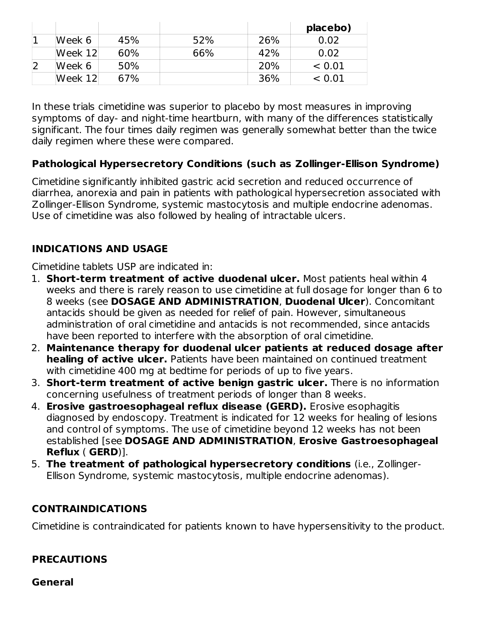|         |     |     |     | placebo) |
|---------|-----|-----|-----|----------|
| Week 6  | 45% | 52% | 26% | 0.02     |
| Week 12 | 60% | 66% | 42% | 0.02     |
| Week 6  | 50% |     | 20% | < 0.01   |
| Week 12 | 67% |     | 36% | < 0.01   |

In these trials cimetidine was superior to placebo by most measures in improving symptoms of day- and night-time heartburn, with many of the differences statistically significant. The four times daily regimen was generally somewhat better than the twice daily regimen where these were compared.

# **Pathological Hypersecretory Conditions (such as Zollinger-Ellison Syndrome)**

Cimetidine significantly inhibited gastric acid secretion and reduced occurrence of diarrhea, anorexia and pain in patients with pathological hypersecretion associated with Zollinger-Ellison Syndrome, systemic mastocytosis and multiple endocrine adenomas. Use of cimetidine was also followed by healing of intractable ulcers.

# **INDICATIONS AND USAGE**

Cimetidine tablets USP are indicated in:

- 1. **Short-term treatment of active duodenal ulcer.** Most patients heal within 4 weeks and there is rarely reason to use cimetidine at full dosage for longer than 6 to 8 weeks (see **DOSAGE AND ADMINISTRATION**, **Duodenal Ulcer**). Concomitant antacids should be given as needed for relief of pain. However, simultaneous administration of oral cimetidine and antacids is not recommended, since antacids have been reported to interfere with the absorption of oral cimetidine.
- 2. **Maintenance therapy for duodenal ulcer patients at reduced dosage after healing of active ulcer.** Patients have been maintained on continued treatment with cimetidine 400 mg at bedtime for periods of up to five years.
- 3. **Short-term treatment of active benign gastric ulcer.** There is no information concerning usefulness of treatment periods of longer than 8 weeks.
- 4. **Erosive gastroesophageal reflux disease (GERD).** Erosive esophagitis diagnosed by endoscopy. Treatment is indicated for 12 weeks for healing of lesions and control of symptoms. The use of cimetidine beyond 12 weeks has not been established [see **DOSAGE AND ADMINISTRATION**, **Erosive Gastroesophageal Reflux** ( **GERD**)].
- 5. **The treatment of pathological hypersecretory conditions** (i.e., Zollinger-Ellison Syndrome, systemic mastocytosis, multiple endocrine adenomas).

# **CONTRAINDICATIONS**

Cimetidine is contraindicated for patients known to have hypersensitivity to the product.

# **PRECAUTIONS**

**General**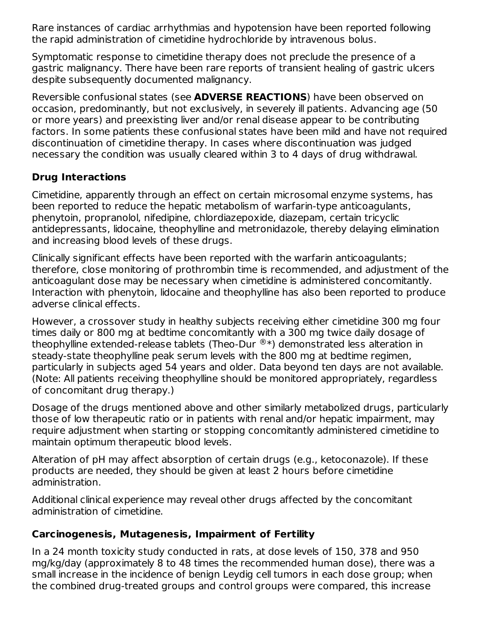Rare instances of cardiac arrhythmias and hypotension have been reported following the rapid administration of cimetidine hydrochloride by intravenous bolus.

Symptomatic response to cimetidine therapy does not preclude the presence of a gastric malignancy. There have been rare reports of transient healing of gastric ulcers despite subsequently documented malignancy.

Reversible confusional states (see **ADVERSE REACTIONS**) have been observed on occasion, predominantly, but not exclusively, in severely ill patients. Advancing age (50 or more years) and preexisting liver and/or renal disease appear to be contributing factors. In some patients these confusional states have been mild and have not required discontinuation of cimetidine therapy. In cases where discontinuation was judged necessary the condition was usually cleared within 3 to 4 days of drug withdrawal.

# **Drug Interactions**

Cimetidine, apparently through an effect on certain microsomal enzyme systems, has been reported to reduce the hepatic metabolism of warfarin-type anticoagulants, phenytoin, propranolol, nifedipine, chlordiazepoxide, diazepam, certain tricyclic antidepressants, lidocaine, theophylline and metronidazole, thereby delaying elimination and increasing blood levels of these drugs.

Clinically significant effects have been reported with the warfarin anticoagulants; therefore, close monitoring of prothrombin time is recommended, and adjustment of the anticoagulant dose may be necessary when cimetidine is administered concomitantly. Interaction with phenytoin, lidocaine and theophylline has also been reported to produce adverse clinical effects.

However, a crossover study in healthy subjects receiving either cimetidine 300 mg four times daily or 800 mg at bedtime concomitantly with a 300 mg twice daily dosage of theophylline extended-release tablets (Theo-Dur  $^{\circledR}*$ ) demonstrated less alteration in steady-state theophylline peak serum levels with the 800 mg at bedtime regimen, particularly in subjects aged 54 years and older. Data beyond ten days are not available. (Note: All patients receiving theophylline should be monitored appropriately, regardless of concomitant drug therapy.)

Dosage of the drugs mentioned above and other similarly metabolized drugs, particularly those of low therapeutic ratio or in patients with renal and/or hepatic impairment, may require adjustment when starting or stopping concomitantly administered cimetidine to maintain optimum therapeutic blood levels.

Alteration of pH may affect absorption of certain drugs (e.g., ketoconazole). If these products are needed, they should be given at least 2 hours before cimetidine administration.

Additional clinical experience may reveal other drugs affected by the concomitant administration of cimetidine.

# **Carcinogenesis, Mutagenesis, Impairment of Fertility**

In a 24 month toxicity study conducted in rats, at dose levels of 150, 378 and 950 mg/kg/day (approximately 8 to 48 times the recommended human dose), there was a small increase in the incidence of benign Leydig cell tumors in each dose group; when the combined drug-treated groups and control groups were compared, this increase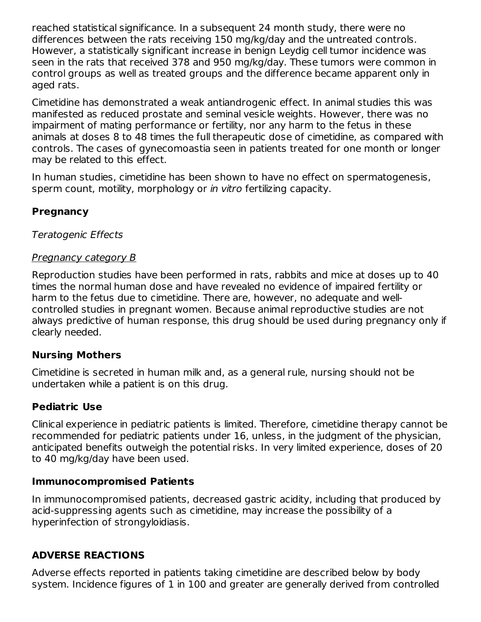reached statistical significance. In a subsequent 24 month study, there were no differences between the rats receiving 150 mg/kg/day and the untreated controls. However, a statistically significant increase in benign Leydig cell tumor incidence was seen in the rats that received 378 and 950 mg/kg/day. These tumors were common in control groups as well as treated groups and the difference became apparent only in aged rats.

Cimetidine has demonstrated a weak antiandrogenic effect. In animal studies this was manifested as reduced prostate and seminal vesicle weights. However, there was no impairment of mating performance or fertility, nor any harm to the fetus in these animals at doses 8 to 48 times the full therapeutic dose of cimetidine, as compared with controls. The cases of gynecomoastia seen in patients treated for one month or longer may be related to this effect.

In human studies, cimetidine has been shown to have no effect on spermatogenesis, sperm count, motility, morphology or *in vitro* fertilizing capacity.

### **Pregnancy**

#### Teratogenic Effects

#### **Pregnancy category B**

Reproduction studies have been performed in rats, rabbits and mice at doses up to 40 times the normal human dose and have revealed no evidence of impaired fertility or harm to the fetus due to cimetidine. There are, however, no adequate and wellcontrolled studies in pregnant women. Because animal reproductive studies are not always predictive of human response, this drug should be used during pregnancy only if clearly needed.

### **Nursing Mothers**

Cimetidine is secreted in human milk and, as a general rule, nursing should not be undertaken while a patient is on this drug.

### **Pediatric Use**

Clinical experience in pediatric patients is limited. Therefore, cimetidine therapy cannot be recommended for pediatric patients under 16, unless, in the judgment of the physician, anticipated benefits outweigh the potential risks. In very limited experience, doses of 20 to 40 mg/kg/day have been used.

#### **Immunocompromised Patients**

In immunocompromised patients, decreased gastric acidity, including that produced by acid-suppressing agents such as cimetidine, may increase the possibility of a hyperinfection of strongyloidiasis.

### **ADVERSE REACTIONS**

Adverse effects reported in patients taking cimetidine are described below by body system. Incidence figures of 1 in 100 and greater are generally derived from controlled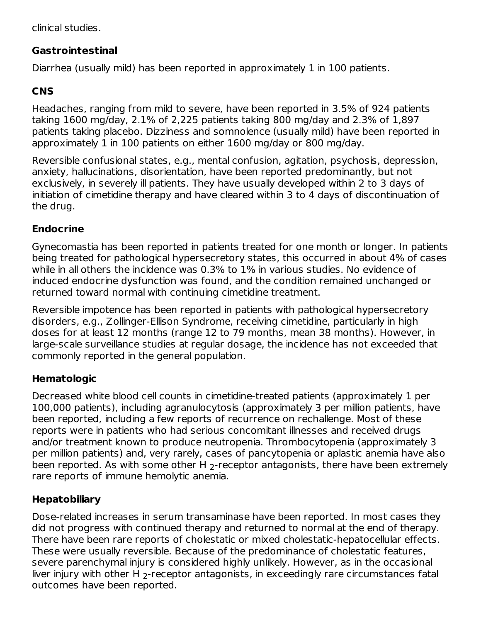clinical studies.

# **Gastrointestinal**

Diarrhea (usually mild) has been reported in approximately 1 in 100 patients.

# **CNS**

Headaches, ranging from mild to severe, have been reported in 3.5% of 924 patients taking 1600 mg/day, 2.1% of 2,225 patients taking 800 mg/day and 2.3% of 1,897 patients taking placebo. Dizziness and somnolence (usually mild) have been reported in approximately 1 in 100 patients on either 1600 mg/day or 800 mg/day.

Reversible confusional states, e.g., mental confusion, agitation, psychosis, depression, anxiety, hallucinations, disorientation, have been reported predominantly, but not exclusively, in severely ill patients. They have usually developed within 2 to 3 days of initiation of cimetidine therapy and have cleared within 3 to 4 days of discontinuation of the drug.

# **Endocrine**

Gynecomastia has been reported in patients treated for one month or longer. In patients being treated for pathological hypersecretory states, this occurred in about 4% of cases while in all others the incidence was 0.3% to 1% in various studies. No evidence of induced endocrine dysfunction was found, and the condition remained unchanged or returned toward normal with continuing cimetidine treatment.

Reversible impotence has been reported in patients with pathological hypersecretory disorders, e.g., Zollinger-Ellison Syndrome, receiving cimetidine, particularly in high doses for at least 12 months (range 12 to 79 months, mean 38 months). However, in large-scale surveillance studies at regular dosage, the incidence has not exceeded that commonly reported in the general population.

# **Hematologic**

Decreased white blood cell counts in cimetidine-treated patients (approximately 1 per 100,000 patients), including agranulocytosis (approximately 3 per million patients, have been reported, including a few reports of recurrence on rechallenge. Most of these reports were in patients who had serious concomitant illnesses and received drugs and/or treatment known to produce neutropenia. Thrombocytopenia (approximately 3 per million patients) and, very rarely, cases of pancytopenia or aplastic anemia have also been reported. As with some other H  $_2$ -receptor antagonists, there have been extremely rare reports of immune hemolytic anemia.

# **Hepatobiliary**

Dose-related increases in serum transaminase have been reported. In most cases they did not progress with continued therapy and returned to normal at the end of therapy. There have been rare reports of cholestatic or mixed cholestatic-hepatocellular effects. These were usually reversible. Because of the predominance of cholestatic features, severe parenchymal injury is considered highly unlikely. However, as in the occasional liver injury with other H  $_2$ -receptor antagonists, in exceedingly rare circumstances fatal outcomes have been reported.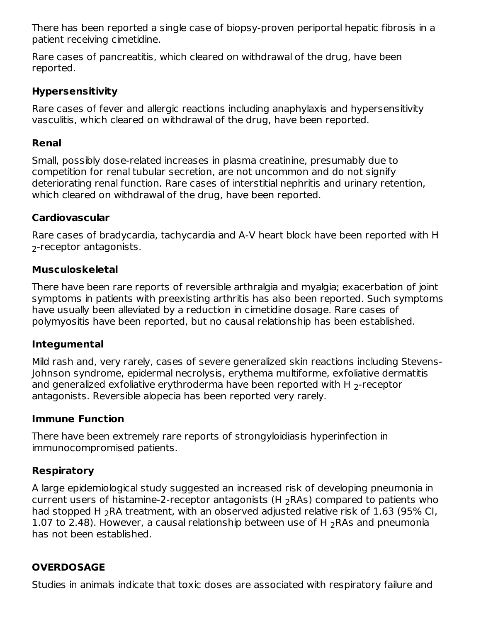There has been reported a single case of biopsy-proven periportal hepatic fibrosis in a patient receiving cimetidine.

Rare cases of pancreatitis, which cleared on withdrawal of the drug, have been reported.

### **Hypersensitivity**

Rare cases of fever and allergic reactions including anaphylaxis and hypersensitivity vasculitis, which cleared on withdrawal of the drug, have been reported.

### **Renal**

Small, possibly dose-related increases in plasma creatinine, presumably due to competition for renal tubular secretion, are not uncommon and do not signify deteriorating renal function. Rare cases of interstitial nephritis and urinary retention, which cleared on withdrawal of the drug, have been reported.

### **Cardiovascular**

Rare cases of bradycardia, tachycardia and A-V heart block have been reported with H <sub>2</sub>-receptor antagonists.

# **Musculoskeletal**

There have been rare reports of reversible arthralgia and myalgia; exacerbation of joint symptoms in patients with preexisting arthritis has also been reported. Such symptoms have usually been alleviated by a reduction in cimetidine dosage. Rare cases of polymyositis have been reported, but no causal relationship has been established.

### **Integumental**

Mild rash and, very rarely, cases of severe generalized skin reactions including Stevens-Johnson syndrome, epidermal necrolysis, erythema multiforme, exfoliative dermatitis and generalized exfoliative erythroderma have been reported with H  $_{\rm 2}$ -receptor antagonists. Reversible alopecia has been reported very rarely.

### **Immune Function**

There have been extremely rare reports of strongyloidiasis hyperinfection in immunocompromised patients.

# **Respiratory**

A large epidemiological study suggested an increased risk of developing pneumonia in current users of histamine-2-receptor antagonists (H  $_2$ RAs) compared to patients who had stopped H  $_2$ RA treatment, with an observed adjusted relative risk of 1.63 (95% CI, 1.07 to 2.48). However, a causal relationship between use of H  $_2$ RAs and pneumonia has not been established.

# **OVERDOSAGE**

Studies in animals indicate that toxic doses are associated with respiratory failure and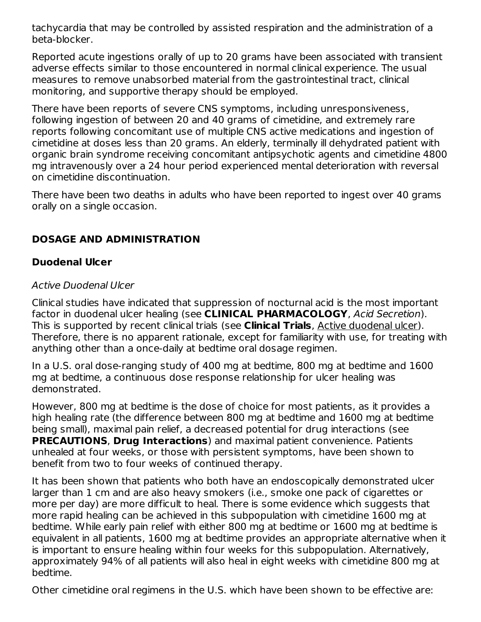tachycardia that may be controlled by assisted respiration and the administration of a beta-blocker.

Reported acute ingestions orally of up to 20 grams have been associated with transient adverse effects similar to those encountered in normal clinical experience. The usual measures to remove unabsorbed material from the gastrointestinal tract, clinical monitoring, and supportive therapy should be employed.

There have been reports of severe CNS symptoms, including unresponsiveness, following ingestion of between 20 and 40 grams of cimetidine, and extremely rare reports following concomitant use of multiple CNS active medications and ingestion of cimetidine at doses less than 20 grams. An elderly, terminally ill dehydrated patient with organic brain syndrome receiving concomitant antipsychotic agents and cimetidine 4800 mg intravenously over a 24 hour period experienced mental deterioration with reversal on cimetidine discontinuation.

There have been two deaths in adults who have been reported to ingest over 40 grams orally on a single occasion.

# **DOSAGE AND ADMINISTRATION**

# **Duodenal Ulcer**

# Active Duodenal Ulcer

Clinical studies have indicated that suppression of nocturnal acid is the most important factor in duodenal ulcer healing (see **CLINICAL PHARMACOLOGY**, Acid Secretion). This is supported by recent clinical trials (see **Clinical Trials**, Active duodenal ulcer). Therefore, there is no apparent rationale, except for familiarity with use, for treating with anything other than a once-daily at bedtime oral dosage regimen.

In a U.S. oral dose-ranging study of 400 mg at bedtime, 800 mg at bedtime and 1600 mg at bedtime, a continuous dose response relationship for ulcer healing was demonstrated.

However, 800 mg at bedtime is the dose of choice for most patients, as it provides a high healing rate (the difference between 800 mg at bedtime and 1600 mg at bedtime being small), maximal pain relief, a decreased potential for drug interactions (see **PRECAUTIONS**, **Drug Interactions**) and maximal patient convenience. Patients unhealed at four weeks, or those with persistent symptoms, have been shown to benefit from two to four weeks of continued therapy.

It has been shown that patients who both have an endoscopically demonstrated ulcer larger than 1 cm and are also heavy smokers (i.e., smoke one pack of cigarettes or more per day) are more difficult to heal. There is some evidence which suggests that more rapid healing can be achieved in this subpopulation with cimetidine 1600 mg at bedtime. While early pain relief with either 800 mg at bedtime or 1600 mg at bedtime is equivalent in all patients, 1600 mg at bedtime provides an appropriate alternative when it is important to ensure healing within four weeks for this subpopulation. Alternatively, approximately 94% of all patients will also heal in eight weeks with cimetidine 800 mg at bedtime.

Other cimetidine oral regimens in the U.S. which have been shown to be effective are: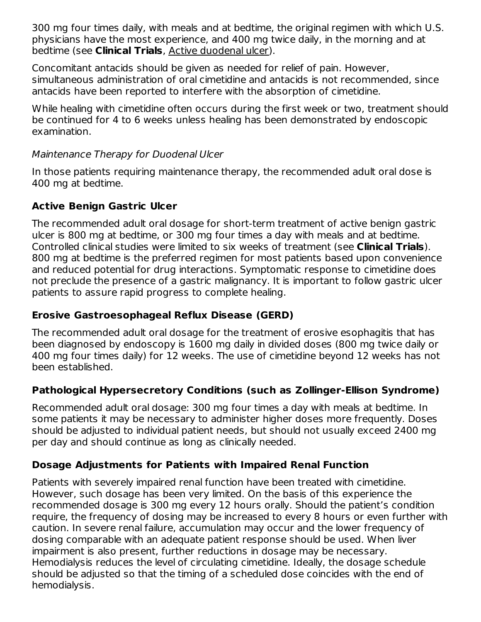300 mg four times daily, with meals and at bedtime, the original regimen with which U.S. physicians have the most experience, and 400 mg twice daily, in the morning and at bedtime (see **Clinical Trials**, Active duodenal ulcer).

Concomitant antacids should be given as needed for relief of pain. However, simultaneous administration of oral cimetidine and antacids is not recommended, since antacids have been reported to interfere with the absorption of cimetidine.

While healing with cimetidine often occurs during the first week or two, treatment should be continued for 4 to 6 weeks unless healing has been demonstrated by endoscopic examination.

### Maintenance Therapy for Duodenal Ulcer

In those patients requiring maintenance therapy, the recommended adult oral dose is 400 mg at bedtime.

# **Active Benign Gastric Ulcer**

The recommended adult oral dosage for short-term treatment of active benign gastric ulcer is 800 mg at bedtime, or 300 mg four times a day with meals and at bedtime. Controlled clinical studies were limited to six weeks of treatment (see **Clinical Trials**). 800 mg at bedtime is the preferred regimen for most patients based upon convenience and reduced potential for drug interactions. Symptomatic response to cimetidine does not preclude the presence of a gastric malignancy. It is important to follow gastric ulcer patients to assure rapid progress to complete healing.

# **Erosive Gastroesophageal Reflux Disease (GERD)**

The recommended adult oral dosage for the treatment of erosive esophagitis that has been diagnosed by endoscopy is 1600 mg daily in divided doses (800 mg twice daily or 400 mg four times daily) for 12 weeks. The use of cimetidine beyond 12 weeks has not been established.

# **Pathological Hypersecretory Conditions (such as Zollinger-Ellison Syndrome)**

Recommended adult oral dosage: 300 mg four times a day with meals at bedtime. In some patients it may be necessary to administer higher doses more frequently. Doses should be adjusted to individual patient needs, but should not usually exceed 2400 mg per day and should continue as long as clinically needed.

# **Dosage Adjustments for Patients with Impaired Renal Function**

Patients with severely impaired renal function have been treated with cimetidine. However, such dosage has been very limited. On the basis of this experience the recommended dosage is 300 mg every 12 hours orally. Should the patient's condition require, the frequency of dosing may be increased to every 8 hours or even further with caution. In severe renal failure, accumulation may occur and the lower frequency of dosing comparable with an adequate patient response should be used. When liver impairment is also present, further reductions in dosage may be necessary. Hemodialysis reduces the level of circulating cimetidine. Ideally, the dosage schedule should be adjusted so that the timing of a scheduled dose coincides with the end of hemodialysis.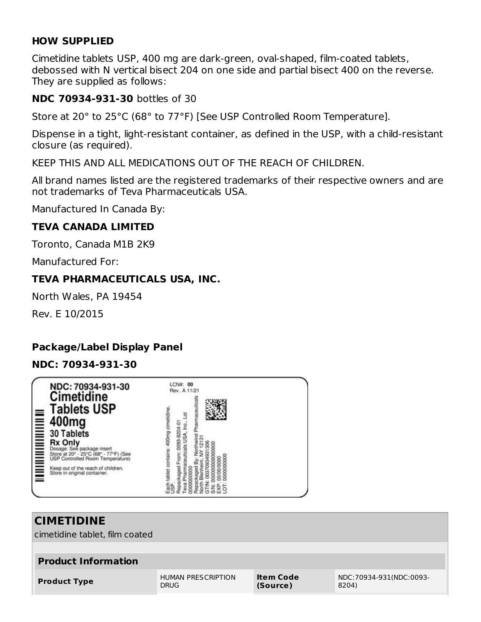### **HOW SUPPLIED**

Cimetidine tablets USP, 400 mg are dark-green, oval-shaped, film-coated tablets, debossed with N vertical bisect 204 on one side and partial bisect 400 on the reverse. They are supplied as follows:

#### **NDC 70934-931-30** bottles of 30

Store at 20° to 25°C (68° to 77°F) [See USP Controlled Room Temperature].

Dispense in a tight, light-resistant container, as defined in the USP, with a child-resistant closure (as required).

KEEP THIS AND ALL MEDICATIONS OUT OF THE REACH OF CHILDREN.

All brand names listed are the registered trademarks of their respective owners and are not trademarks of Teva Pharmaceuticals USA.

Manufactured In Canada By:

#### **TEVA CANADA LIMITED**

Toronto, Canada M1B 2K9

Manufactured For:

#### **TEVA PHARMACEUTICALS USA, INC.**

North Wales, PA 19454

Rev. E 10/2015

# **Package/Label Display Panel**

#### **NDC: 70934-931-30**



# **CIMETIDINE**

cimetidine tablet, film coated

| <b>Product Information</b> |                    |           |                         |
|----------------------------|--------------------|-----------|-------------------------|
| <b>Product Type</b>        | HUMAN PRESCRIPTION | Item Code | NDC:70934-931(NDC:0093- |
|                            | <b>DRUG</b>        | (Source)  | 8204)                   |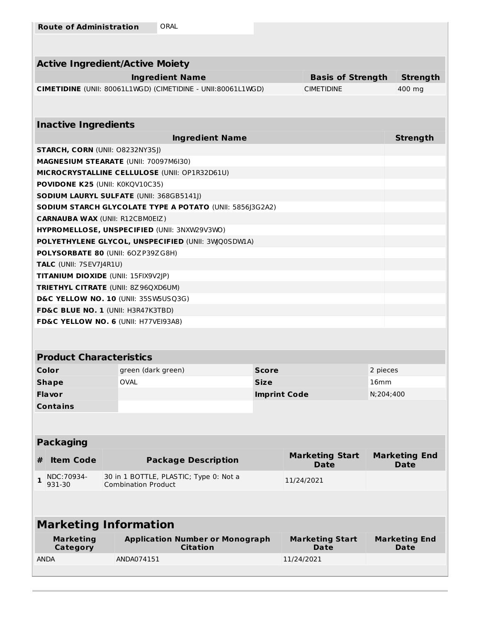| <b>Active Ingredient/Active Moiety</b> |                                                                                    |              |                                       |                                     |  |  |
|----------------------------------------|------------------------------------------------------------------------------------|--------------|---------------------------------------|-------------------------------------|--|--|
|                                        | <b>Ingredient Name</b>                                                             |              | <b>Basis of Strength</b>              | <b>Strength</b>                     |  |  |
|                                        | CIMETIDINE (UNII: 80061L1WGD) (CIMETIDINE - UNII:80061L1WGD)                       |              | <b>CIMETIDINE</b>                     | 400 mg                              |  |  |
|                                        |                                                                                    |              |                                       |                                     |  |  |
| <b>Inactive Ingredients</b>            |                                                                                    |              |                                       |                                     |  |  |
|                                        | <b>Ingredient Name</b>                                                             |              |                                       | <b>Strength</b>                     |  |  |
| <b>STARCH, CORN (UNII: O8232NY3SJ)</b> |                                                                                    |              |                                       |                                     |  |  |
|                                        | <b>MAGNESIUM STEARATE (UNII: 70097M6I30)</b>                                       |              |                                       |                                     |  |  |
|                                        | MICROCRYSTALLINE CELLULOSE (UNII: OP1R32D61U)                                      |              |                                       |                                     |  |  |
| <b>POVIDONE K25 (UNII: K0KQV10C35)</b> |                                                                                    |              |                                       |                                     |  |  |
|                                        | <b>SODIUM LAURYL SULFATE (UNII: 368GB5141J)</b>                                    |              |                                       |                                     |  |  |
|                                        | SODIUM STARCH GLYCOLATE TYPE A POTATO (UNII: 5856J3G2A2)                           |              |                                       |                                     |  |  |
| <b>CARNAUBA WAX (UNII: R12CBM0EIZ)</b> |                                                                                    |              |                                       |                                     |  |  |
|                                        | HYPROMELLOSE, UNSPECIFIED (UNII: 3NXW29V3WO)                                       |              |                                       |                                     |  |  |
|                                        | POLYETHYLENE GLYCOL, UNSPECIFIED (UNII: 3WQ0SDW1A)                                 |              |                                       |                                     |  |  |
|                                        | POLYSORBATE 80 (UNII: 60ZP39ZG8H)                                                  |              |                                       |                                     |  |  |
| TALC (UNII: 7SEV7J4R1U)                |                                                                                    |              |                                       |                                     |  |  |
|                                        | TITANIUM DIOXIDE (UNII: 15FIX9V2JP)                                                |              |                                       |                                     |  |  |
|                                        | <b>TRIETHYL CITRATE (UNII: 8Z96QXD6UM)</b><br>D&C YELLOW NO. 10 (UNII: 35SW5USQ3G) |              |                                       |                                     |  |  |
|                                        | FD&C BLUE NO. 1 (UNII: H3R47K3TBD)                                                 |              |                                       |                                     |  |  |
|                                        | FD&C YELLOW NO. 6 (UNII: H77VEI93A8)                                               |              |                                       |                                     |  |  |
|                                        |                                                                                    |              |                                       |                                     |  |  |
|                                        |                                                                                    |              |                                       |                                     |  |  |
| <b>Product Characteristics</b>         |                                                                                    |              |                                       |                                     |  |  |
| Color                                  | green (dark green)                                                                 | <b>Score</b> |                                       | 2 pieces                            |  |  |
| <b>Shape</b>                           | <b>OVAL</b>                                                                        | <b>Size</b>  |                                       | 16 <sub>mm</sub>                    |  |  |
| Flavor                                 |                                                                                    |              | <b>Imprint Code</b>                   | N:204:400                           |  |  |
| <b>Contains</b>                        |                                                                                    |              |                                       |                                     |  |  |
|                                        |                                                                                    |              |                                       |                                     |  |  |
|                                        |                                                                                    |              |                                       |                                     |  |  |
| <b>Packaging</b>                       |                                                                                    |              |                                       |                                     |  |  |
| <b>Item Code</b><br>#                  | <b>Package Description</b>                                                         |              | <b>Marketing Start</b><br><b>Date</b> | <b>Marketing End</b><br><b>Date</b> |  |  |
| NDC: 70934-<br>1<br>931-30             | 30 in 1 BOTTLE, PLASTIC; Type 0: Not a<br><b>Combination Product</b>               |              | 11/24/2021                            |                                     |  |  |
|                                        |                                                                                    |              |                                       |                                     |  |  |
|                                        | <b>Marketing Information</b>                                                       |              |                                       |                                     |  |  |
| <b>Marketing</b><br><b>Category</b>    | <b>Application Number or Monograph</b><br><b>Citation</b>                          |              | <b>Marketing Start</b><br><b>Date</b> | <b>Marketing End</b><br>Date        |  |  |
| <b>ANDA</b>                            | ANDA074151                                                                         |              | 11/24/2021                            |                                     |  |  |
|                                        |                                                                                    |              |                                       |                                     |  |  |